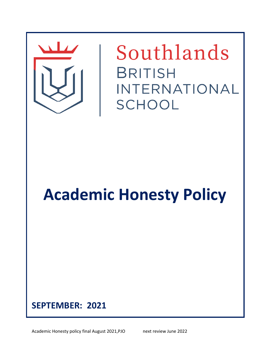

# **SEPTEMBER: 2021**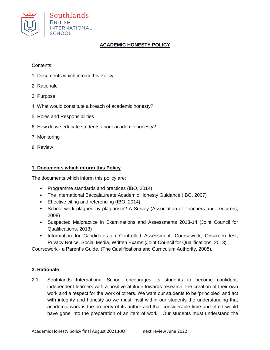

## **ACADEMIC HONESTY POLICY**

Contents:

- 1. Documents which inform this Policy
- 2. Rationale
- 3. Purpose
- 4. What would constitute a breach of academic honesty?
- 5. Roles and Responsibilities
- 6. How do we educate students about academic honesty?
- 7. Monitoring
- 8. Review

#### **1. Documents which inform this Policy**

The documents which inform this policy are:

- Programme standards and practices (IBO, 2014)
- The International Baccalaureate Academic Honesty Guidance (IBO, 2007)
- Effective citing and referencing (IBO, 2014)
- School work plagued by plagiarism? A Survey (Association of Teachers and Lecturers, 2008)
- Suspected Malpractice in Examinations and Assessments 2013-14 (Joint Council for Qualifications, 2013)
- Information for Candidates on Controlled Assessment, Coursework, Onscreen test, Privacy Notice, Social Media, Written Exams (Joint Council for Qualifications, 2013)

Coursework - a Parent's Guide. (The Qualifications and Curriculum Authority, 2005).

#### **2. Rationale**

2.1. Southlands International School encourages its students to become confident, independent learners with a positive attitude towards research, the creation of their own work and a respect for the work of others. We want our students to be 'principled' and act with integrity and honesty so we must instil within our students the understanding that academic work is the property of its author and that considerable time and effort would have gone into the preparation of an item of work. Our students must understand the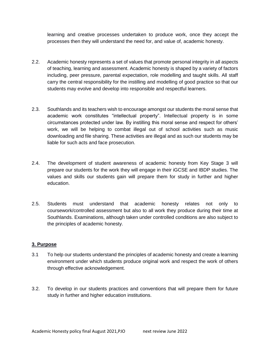learning and creative processes undertaken to produce work, once they accept the processes then they will understand the need for, and value of, academic honesty.

- 2.2. Academic honesty represents a set of values that promote personal integrity in all aspects of teaching, learning and assessment. Academic honesty is shaped by a variety of factors including, peer pressure, parental expectation, role modelling and taught skills. All staff carry the central responsibility for the instilling and modelling of good practice so that our students may evolve and develop into responsible and respectful learners.
- 2.3. Southlands and its teachers wish to encourage amongst our students the moral sense that academic work constitutes "intellectual property". Intellectual property is in some circumstances protected under law. By instilling this moral sense and respect for others' work, we will be helping to combat illegal out of school activities such as music downloading and file sharing. These activities are illegal and as such our students may be liable for such acts and face prosecution.
- 2.4. The development of student awareness of academic honesty from Key Stage 3 will prepare our students for the work they will engage in their iGCSE and IBDP studies. The values and skills our students gain will prepare them for study in further and higher education.
- 2.5. Students must understand that academic honesty relates not only to coursework/controlled assessment but also to all work they produce during their time at Southlands. Examinations, although taken under controlled conditions are also subject to the principles of academic honesty.

#### **3. Purpose**

- 3.1 To help our students understand the principles of academic honesty and create a learning environment under which students produce original work and respect the work of others through effective acknowledgement.
- 3.2. To develop in our students practices and conventions that will prepare them for future study in further and higher education institutions.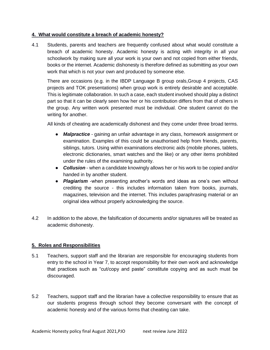### **4. What would constitute a breach of academic honesty?**

4.1 Students, parents and teachers are frequently confused about what would constitute a breach of academic honesty. Academic honesty is acting with integrity in all your schoolwork by making sure all your work is your own and not copied from either friends, books or the internet. Academic dishonesty is therefore defined as submitting as your own work that which is not your own and produced by someone else.

There are occasions (e.g. in the IBDP Language B group orals,Group 4 projects, CAS projects and TOK presentations) when group work is entirely desirable and acceptable. This is legitimate collaboration. In such a case, each student involved should play a distinct part so that it can be clearly seen how her or his contribution differs from that of others in the group. Any written work presented must be individual. One student cannot do the writing for another.

All kinds of cheating are academically dishonest and they come under three broad terms.

- **●** *Malpractice* gaining an unfair advantage in any class, homework assignment or examination. Examples of this could be unauthorised help from friends, parents, siblings, tutors. Using within examinations electronic aids (mobile phones, tablets, electronic dictionaries, smart watches and the like) or any other items prohibited under the rules of the examining authority.
- **●** *Collusion* when a candidate knowingly allows her or his work to be copied and/or handed in by another student.
- **●** *Plagiarism* -when presenting another's words and ideas as one's own without crediting the source - this includes information taken from books, journals, magazines, television and the internet. This includes paraphrasing material or an original idea without properly acknowledging the source.
- 4.2 In addition to the above, the falsification of documents and/or signatures will be treated as academic dishonesty.

## **5. Roles and Responsibilities**

- 5.1 Teachers, support staff and the librarian are responsible for encouraging students from entry to the school in Year 7, to accept responsibility for their own work and acknowledge that practices such as "cut/copy and paste" constitute copying and as such must be discouraged.
- 5.2 Teachers, support staff and the librarian have a collective responsibility to ensure that as our students progress through school they become conversant with the concept of academic honesty and of the various forms that cheating can take.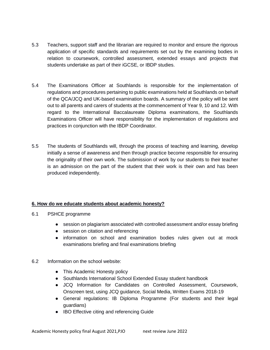- 5.3 Teachers, support staff and the librarian are required to monitor and ensure the rigorous application of specific standards and requirements set out by the examining bodies in relation to coursework, controlled assessment, extended essays and projects that students undertake as part of their iGCSE, or IBDP studies.
- 5.4 The Examinations Officer at Southlands is responsible for the implementation of regulations and procedures pertaining to public examinations held at Southlands on behalf of the QCA/JCQ and UK-based examination boards. A summary of the policy will be sent out to all parents and carers of students at the commencement of Year 9, 10 and 12. With regard to the International Baccalaureate Diploma examinations, the Southlands Examinations Officer will have responsibility for the implementation of regulations and practices in conjunction with the IBDP Coordinator.
- 5.5 The students of Southlands will, through the process of teaching and learning, develop initially a sense of awareness and then through practice become responsible for ensuring the originality of their own work. The submission of work by our students to their teacher is an admission on the part of the student that their work is their own and has been produced independently.

## **6. How do we educate students about academic honesty?**

- 6.1 PSHCE programme
	- **●** session on plagiarism associated with controlled assessment and/or essay briefing
	- **●** session on citation and referencing
	- **●** information on school and examination bodies rules given out at mock examinations briefing and final examinations briefing
- 6.2 Information on the school website:
	- **●** This Academic Honesty policy
	- **●** Southlands International School Extended Essay student handbook
	- **●** JCQ Information for Candidates on Controlled Assessment, Coursework, Onscreen test, using JCQ guidance, Social Media, Written Exams 2018-19
	- **●** General regulations: IB Diploma Programme (For students and their legal guardians)
	- **●** IBO Effective citing and referencing Guide